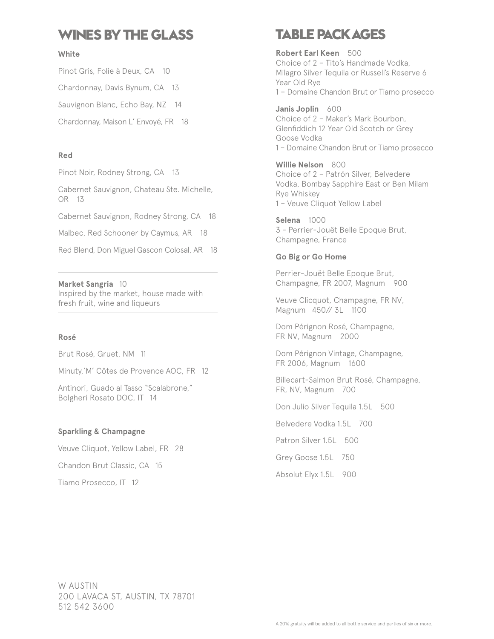## **WINES BY THE GLASS**

#### **White**

Pinot Gris, Folie à Deux, CA 10 Chardonnay, Davis Bynum, CA 13 Sauvignon Blanc, Echo Bay, NZ 14 Chardonnay, Maison L' Envoyé, FR 18

#### **Red**

Pinot Noir, Rodney Strong, CA 13

Cabernet Sauvignon, Chateau Ste. Michelle, OR 13

Cabernet Sauvignon, Rodney Strong, CA 18

Malbec, Red Schooner by Caymus, AR 18

Red Blend, Don Miguel Gascon Colosal, AR 18

**Market Sangria** 10 Inspired by the market, house made with fresh fruit, wine and liqueurs

#### **Rosé**

Brut Rosé, Gruet, NM 11

Minuty,'M' Côtes de Provence AOC, FR 12

Antinori, Guado al Tasso "Scalabrone," Bolgheri Rosato DOC, IT 14

#### **Sparkling & Champagne**

Veuve Cliquot, Yellow Label, FR 28

Chandon Brut Classic, CA 15

Tiamo Prosecco, IT 12

## **TABLE PACKAGES**

**Robert Earl Keen** 500 Choice of 2 – Tito's Handmade Vodka, Milagro Silver Tequila or Russell's Reserve 6 Year Old Rye 1 – Domaine Chandon Brut or Tiamo prosecco

Janis Joplin 600 Choice of 2 – Maker's Mark Bourbon, Glenfiddich 12 Year Old Scotch or Grey Goose Vodka 1 – Domaine Chandon Brut or Tiamo prosecco

**Willie Nelson** 800 Choice of 2 – Patrón Silver, Belvedere Vodka, Bombay Sapphire East or Ben Milam Rye Whiskey 1 – Veuve Cliquot Yellow Label

**Selena** 1000 3 - Perrier-Jouët Belle Epoque Brut, Champagne, France

#### **Go Big or Go Home**

Perrier-Jouët Belle Epoque Brut, Champagne, FR 2007, Magnum 900

Veuve Clicquot, Champagne, FR NV, Magnum 450// 3L 1100

Dom Pérignon Rosé, Champagne, FR NV, Magnum 2000

Dom Pérignon Vintage, Champagne, FR 2006, Magnum 1600

Billecart-Salmon Brut Rosé, Champagne, FR, NV, Magnum 700

Don Julio Silver Tequila 1.5L 500

Belvedere Vodka 1.5L 700

Patron Silver 1.5L 500

Grey Goose 1.5L 750

Absolut Elyx 1.5L 900

W AUSTIN 200 LAVACA ST, AUSTIN, TX 78701 512 542 3600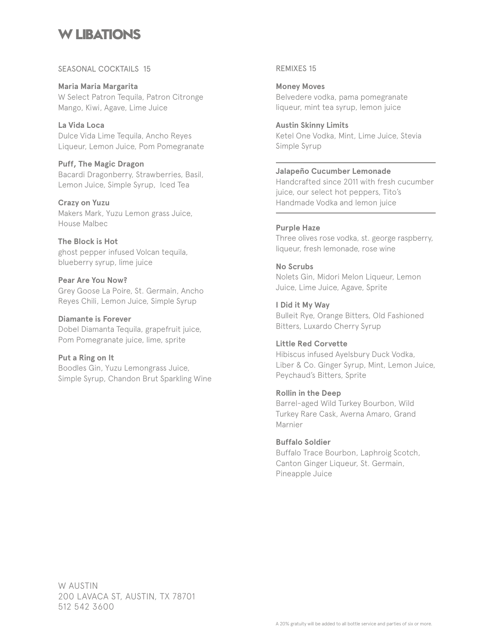### **W LIBATIONS**

#### SEASONAL COCKTAILS 15

**Maria Maria Margarita** W Select Patron Tequila, Patron Citronge Mango, Kiwi, Agave, Lime Juice

**La Vida Loca** Dulce Vida Lime Tequila, Ancho Reyes Liqueur, Lemon Juice, Pom Pomegranate

**Puff, The Magic Dragon** Bacardi Dragonberry, Strawberries, Basil, Lemon Juice, Simple Syrup, Iced Tea

**Crazy on Yuzu** Makers Mark, Yuzu Lemon grass Juice, House Malbec

**The Block is Hot** ghost pepper infused Volcan tequila, blueberry syrup, lime juice

**Pear Are You Now?** Grey Goose La Poire, St. Germain, Ancho Reyes Chili, Lemon Juice, Simple Syrup

**Diamante is Forever** Dobel Diamanta Tequila, grapefruit juice, Pom Pomegranate juice, lime, sprite

**Put a Ring on It** Boodles Gin, Yuzu Lemongrass Juice, Simple Syrup, Chandon Brut Sparkling Wine REMIXES 15

**Money Moves** Belvedere vodka, pama pomegranate liqueur, mint tea syrup, lemon juice

**Austin Skinny Limits** Ketel One Vodka, Mint, Lime Juice, Stevia Simple Syrup

**Jalapeño Cucumber Lemonade** Handcrafted since 2011 with fresh cucumber juice, our select hot peppers, Tito's Handmade Vodka and lemon juice

#### **Purple Haze**

Three olives rose vodka, st. george raspberry, liqueur, fresh lemonade, rose wine

**No Scrubs** Nolets Gin, Midori Melon Liqueur, Lemon Juice, Lime Juice, Agave, Sprite

**I Did it My Way** Bulleit Rye, Orange Bitters, Old Fashioned Bitters, Luxardo Cherry Syrup

**Little Red Corvette** Hibiscus infused Ayelsbury Duck Vodka, Liber & Co. Ginger Syrup, Mint, Lemon Juice, Peychaud's Bitters, Sprite

**Rollin in the Deep** Barrel-aged Wild Turkey Bourbon, Wild Turkey Rare Cask, Averna Amaro, Grand Marnier

**Buffalo Soldier** Buffalo Trace Bourbon, Laphroig Scotch, Canton Ginger Liqueur, St. Germain, Pineapple Juice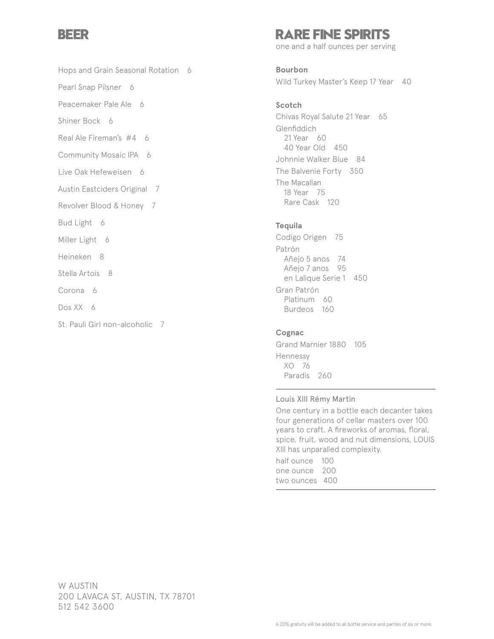### **BEER**

Hops and Grain Seasonal Rotation 6

Pearl Snap Pilsner 6

Peacemaker Pale Ale 6

Shiner Bock 6

Real Ale Fireman's #4 6

Community Mosaic IPA 6

Live Oak Hefeweisen 6

Austin Eastciders Original 7

Revolver Blood & Honey 7

Bud Light 6

Miller Light 6

Heineken 8

Stella Artois 8

Corona 6

Dos XX 6

St. Pauli Girl non-alcoholic 7

### **RARE FINE SPIRITS**

one and a half ounces per serving

**Bourbon** Wild Turkey Master's Keep 17 Year 40

#### **Scotch**

Chivas Royal Salute 21 Year 65 Glenfiddich 21 Year 60 40 Year Old 450 Johnnie Walker Blue 84 The Balvenie Forty 350 The Macallan 18 Year 75 Rare Cask 120

#### **Tequila**

Codigo Origen 75 Patrón Añejo 5 anos 74 Añejo 7 anos 95 en Lalique Serie 1 450 Gran Patrón Platinum 60 Burdeos 160

#### **Cognac**

Grand Marnier 1880 105 Hennessy XO 76 Paradis 260

#### Louis Xlll Rémy Martin

One century in a bottle each decanter takes four generations of cellar masters over 100 years to craft. A fireworks of aromas, floral, spice, fruit, wood and nut dimensions, LOUIS Xlll has unparalled complexity.

half ounce 100 one ounce 200 two ounces 400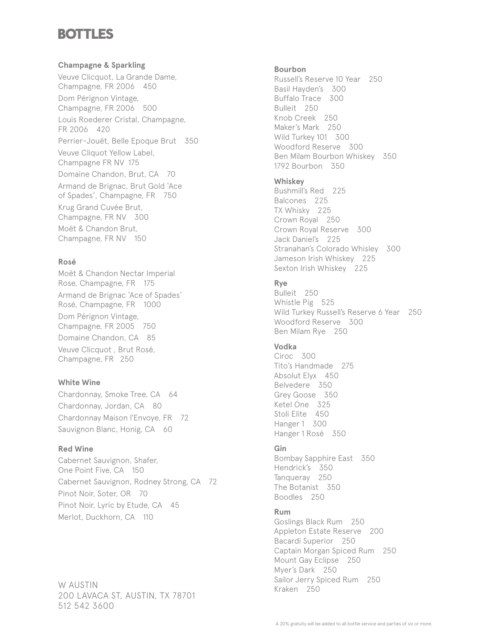## **BOTTLES**

#### **Champagne & Sparkling**

Veuve Clicquot, La Grande Dame, Champagne, FR 2006 450 Dom Pérignon Vintage, Champagne, FR 2006 500 Louis Roederer Cristal, Champagne, FR 2006 420 Perrier-Jouët, Belle Epoque Brut 350 Veuve Cliquot Yellow Label, Champagne FR NV 175 Domaine Chandon, Brut, CA 70 Armand de Brignac, Brut Gold 'Ace of Spades', Champagne, FR 750 Krug Grand Cuvée Brut, Champagne, FR NV 300 Moët & Chandon Brut, Champagne, FR NV 150

#### **Rosé**

Moët & Chandon Nectar Imperial Rose, Champagne, FR 175 Armand de Brignac 'Ace of Spades' Rosé, Champagne, FR 1000 Dom Pérignon Vintage, Champagne, FR 2005 750 Domaine Chandon, CA 85 Veuve Clicquot , Brut Rosé, Champagne, FR 250

#### **White Wine**

Chardonnay, Smoke Tree, CA 64 Chardonnay, Jordan, CA 80 Chardonnay Maison l'Envoye, FR 72 Sauvignon Blanc, Honig, CA 60

#### **Red Wine**

Cabernet Sauvignon, Shafer, One Point Five, CA 150 Cabernet Sauvignon, Rodney Strong, CA 72 Pinot Noir, Soter, OR 70 Pinot Noir, Lyric by Etude, CA 45 Merlot, Duckhorn, CA 110

W AUSTIN 200 LAVACA ST, AUSTIN, TX 78701 512 542 3600

#### **Bourbon**

Russell's Reserve 10 Year 250 Basil Hayden's 300 Buffalo Trace 300 Bulleit 250 Knob Creek 250 Maker's Mark 250 Wild Turkey 101 300 Woodford Reserve 300 Ben Milam Bourbon Whiskey 350 1792 Bourbon 350

#### **Whiskey**

Bushmill's Red 225 Balcones 225 TX Whisky 225 Crown Royal 250 Crown Royal Reserve 300 Jack Daniel's 225 Stranahan's Colorado Whisley 300 Jameson Irish Whiskey 225 Sexton Irish Whiskey 225

#### **Rye**

Bulleit 250 Whistle Pig 525 Wild Turkey Russell's Reserve 6 Year 250 Woodford Reserve 300 Ben Milam Rye 250

#### **Vodka**

Ciroc 300 Tito's Handmade 275 Absolut Elyx 450 Belvedere 350 Grey Goose 350 Ketel One 325 Stoli Elite 450 Hanger 1 300 Hanger 1 Rosé 350

#### **Gin**

Bombay Sapphire East 350 Hendrick's 350 Tanqueray 250 The Botanist 350 Boodles 250

#### **Rum**

Goslings Black Rum 250 Appleton Estate Reserve 200 Bacardi Superior 250 Captain Morgan Spiced Rum 250 Mount Gay Eclipse 250 Myer's Dark 250 Sailor Jerry Spiced Rum 250 Kraken 250